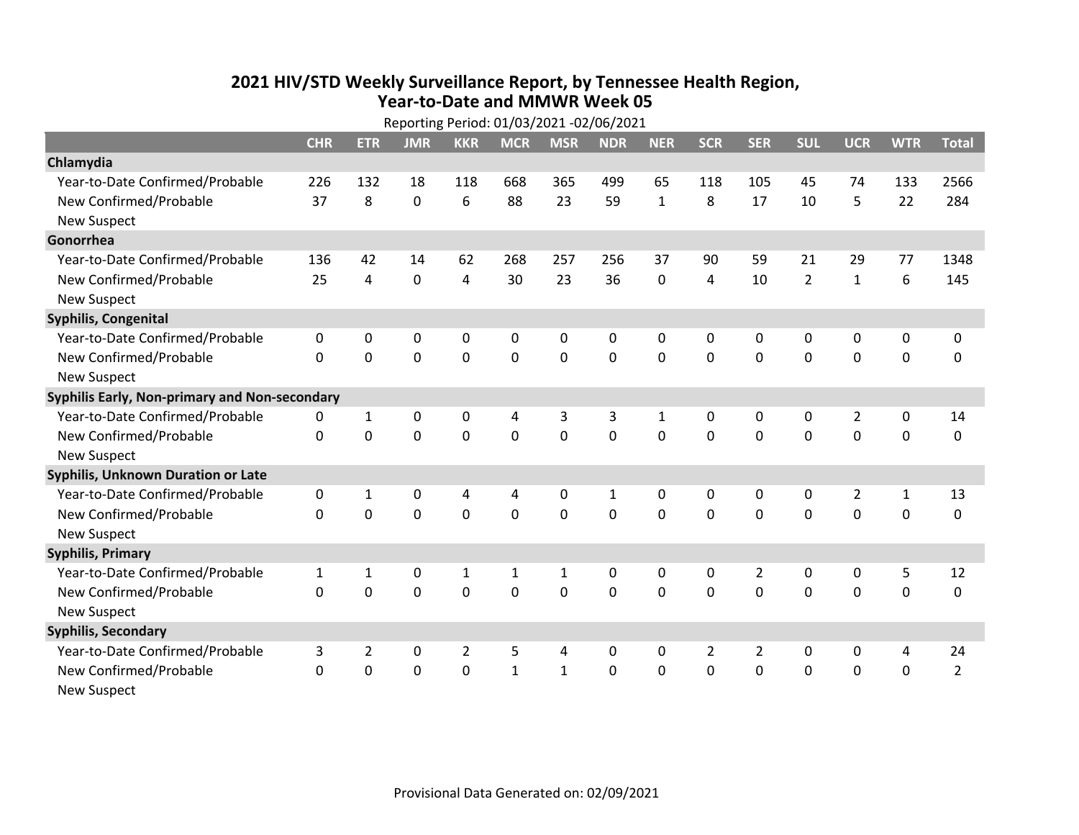## **2021 HIV /STD Weekly Surveillance Report, by Tennessee Health Region, Year‐to‐Date and MMWR Week 05** Reporting Period: 01/03/2021 ‐02/06/2021

| Reporting Period: 01/03/2021 -02/06/2021      |             |                |             |                |              |                |                |              |              |                |                |                |                  |                |
|-----------------------------------------------|-------------|----------------|-------------|----------------|--------------|----------------|----------------|--------------|--------------|----------------|----------------|----------------|------------------|----------------|
|                                               | <b>CHR</b>  | <b>ETR</b>     | <b>JMR</b>  | <b>KKR</b>     | <b>MCR</b>   | <b>MSR</b>     | <b>NDR</b>     | <b>NER</b>   | <b>SCR</b>   | <b>SER</b>     | <b>SUL</b>     | <b>UCR</b>     | <b>WTR</b>       | <b>Total</b>   |
| Chlamydia                                     |             |                |             |                |              |                |                |              |              |                |                |                |                  |                |
| Year-to-Date Confirmed/Probable               | 226         | 132            | 18          | 118            | 668          | 365            | 499            | 65           | 118          | 105            | 45             | 74             | 133              | 2566           |
| New Confirmed/Probable                        | 37          | 8              | $\mathbf 0$ | 6              | 88           | 23             | 59             | $\mathbf{1}$ | 8            | 17             | 10             | 5              | 22               | 284            |
| <b>New Suspect</b>                            |             |                |             |                |              |                |                |              |              |                |                |                |                  |                |
| Gonorrhea                                     |             |                |             |                |              |                |                |              |              |                |                |                |                  |                |
| Year-to-Date Confirmed/Probable               | 136         | 42             | 14          | 62             | 268          | 257            | 256            | 37           | 90           | 59             | 21             | 29             | 77               | 1348           |
| New Confirmed/Probable                        | 25          | 4              | 0           | 4              | 30           | 23             | 36             | 0            | 4            | 10             | $\overline{2}$ | $\mathbf{1}$   | $\boldsymbol{6}$ | 145            |
| <b>New Suspect</b>                            |             |                |             |                |              |                |                |              |              |                |                |                |                  |                |
| <b>Syphilis, Congenital</b>                   |             |                |             |                |              |                |                |              |              |                |                |                |                  |                |
| Year-to-Date Confirmed/Probable               | 0           | 0              | 0           | 0              | 0            | 0              | 0              | 0            | 0            | 0              | 0              | 0              | 0                | 0              |
| New Confirmed/Probable                        | $\Omega$    | 0              | 0           | $\mathbf 0$    | $\mathbf 0$  | $\mathbf 0$    | 0              | $\mathbf 0$  | 0            | $\mathbf 0$    | 0              | $\mathbf 0$    | $\mathbf 0$      | $\pmb{0}$      |
| <b>New Suspect</b>                            |             |                |             |                |              |                |                |              |              |                |                |                |                  |                |
| Syphilis Early, Non-primary and Non-secondary |             |                |             |                |              |                |                |              |              |                |                |                |                  |                |
| Year-to-Date Confirmed/Probable               | 0           | $\mathbf{1}$   | 0           | 0              | 4            | 3              | 3              | $\mathbf{1}$ | $\mathbf{0}$ | $\Omega$       | 0              | $\overline{2}$ | $\mathbf 0$      | 14             |
| New Confirmed/Probable                        | $\Omega$    | $\Omega$       | $\Omega$    | $\Omega$       | $\Omega$     | $\overline{0}$ | $\overline{0}$ | $\Omega$     | $\Omega$     | $\Omega$       | $\Omega$       | $\mathbf 0$    | $\mathbf 0$      | $\mathbf 0$    |
| <b>New Suspect</b>                            |             |                |             |                |              |                |                |              |              |                |                |                |                  |                |
| <b>Syphilis, Unknown Duration or Late</b>     |             |                |             |                |              |                |                |              |              |                |                |                |                  |                |
| Year-to-Date Confirmed/Probable               | 0           | $\mathbf{1}$   | 0           | 4              | 4            | 0              | $\mathbf{1}$   | $\mathbf{0}$ | $\mathbf{0}$ | 0              | 0              | $\overline{2}$ | $\mathbf{1}$     | 13             |
| New Confirmed/Probable                        | $\Omega$    | $\Omega$       | 0           | $\Omega$       | $\mathbf 0$  | $\mathbf 0$    | $\mathbf 0$    | $\Omega$     | $\Omega$     | $\Omega$       | $\Omega$       | $\mathbf 0$    | $\mathbf 0$      | $\mathbf 0$    |
| <b>New Suspect</b>                            |             |                |             |                |              |                |                |              |              |                |                |                |                  |                |
| <b>Syphilis, Primary</b>                      |             |                |             |                |              |                |                |              |              |                |                |                |                  |                |
| Year-to-Date Confirmed/Probable               | 1           | 1              | 0           | $\mathbf{1}$   | 1            | 1              | 0              | 0            | 0            | 2              | 0              | 0              | 5                | 12             |
| New Confirmed/Probable                        | $\mathbf 0$ | $\mathbf 0$    | 0           | $\mathbf 0$    | $\mathbf 0$  | $\mathbf 0$    | 0              | $\Omega$     | 0            | $\mathbf 0$    | 0              | $\mathbf 0$    | $\mathbf 0$      | $\pmb{0}$      |
| <b>New Suspect</b>                            |             |                |             |                |              |                |                |              |              |                |                |                |                  |                |
| <b>Syphilis, Secondary</b>                    |             |                |             |                |              |                |                |              |              |                |                |                |                  |                |
| Year-to-Date Confirmed/Probable               | 3           | $\overline{2}$ | 0           | $\overline{2}$ | 5            | 4              | 0              | $\mathbf{0}$ | 2            | $\overline{2}$ | 0              | 0              | 4                | 24             |
| New Confirmed/Probable                        | $\Omega$    | $\mathbf 0$    | 0           | $\mathbf 0$    | $\mathbf{1}$ | $\mathbf{1}$   | $\Omega$       | $\Omega$     | $\Omega$     | $\mathbf 0$    | 0              | $\mathbf 0$    | $\mathbf 0$      | $\overline{2}$ |
| <b>New Suspect</b>                            |             |                |             |                |              |                |                |              |              |                |                |                |                  |                |